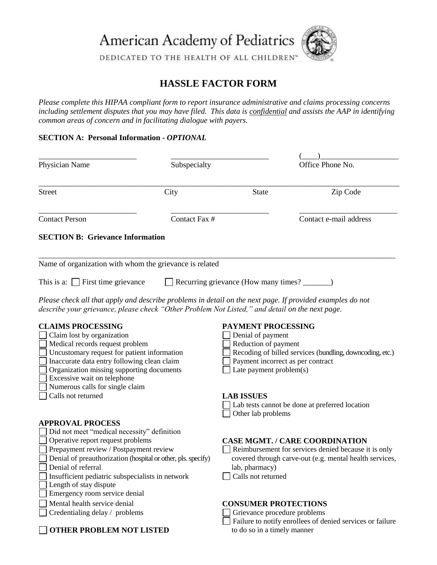American Academy of Pediatrics



DEDICATED TO THE HEALTH OF ALL CHILDREN®

## **HASSLE FACTOR FORM**

*Please complete this HIPAA compliant form to report insurance administrative and claims processing concerns including settlement disputes that you may have filed. This data is confidential and assists the AAP in identifying common areas of concern and in facilitating dialogue with payers.* 

## **SECTION A: Personal Information -** *OPTIONAL*

| Physician Name                                                                                                                                                                                                                                                                                         | Subspecialty  |                                                                                                                                                                                                    | Office Phone No.                                                                                                                                         |
|--------------------------------------------------------------------------------------------------------------------------------------------------------------------------------------------------------------------------------------------------------------------------------------------------------|---------------|----------------------------------------------------------------------------------------------------------------------------------------------------------------------------------------------------|----------------------------------------------------------------------------------------------------------------------------------------------------------|
| Street                                                                                                                                                                                                                                                                                                 | City          | State                                                                                                                                                                                              | Zip Code                                                                                                                                                 |
| <b>Contact Person</b>                                                                                                                                                                                                                                                                                  | Contact Fax # |                                                                                                                                                                                                    | Contact e-mail address                                                                                                                                   |
| <b>SECTION B: Grievance Information</b>                                                                                                                                                                                                                                                                |               |                                                                                                                                                                                                    |                                                                                                                                                          |
| Name of organization with whom the grievance is related                                                                                                                                                                                                                                                |               |                                                                                                                                                                                                    |                                                                                                                                                          |
| This is a: $\Box$ First time grievance<br>Recurring grievance (How many times? ________)                                                                                                                                                                                                               |               |                                                                                                                                                                                                    |                                                                                                                                                          |
| Please check all that apply and describe problems in detail on the next page. If provided examples do not<br>describe your grievance, please check "Other Problem Not Listed," and detail on the next page.                                                                                            |               |                                                                                                                                                                                                    |                                                                                                                                                          |
| <b>CLAIMS PROCESSING</b><br>Claim lost by organization<br>Medical records request problem<br>Uncustomary request for patient information<br>Inaccurate data entry following clean claim<br>Organization missing supporting documents<br>Excessive wait on telephone<br>Numerous calls for single claim |               | <b>PAYMENT PROCESSING</b><br>Denial of payment<br>Reduction of payment<br>Recoding of billed services (bundling, downcoding, etc.)<br>Payment incorrect as per contract<br>Late payment problem(s) |                                                                                                                                                          |
| Calls not returned                                                                                                                                                                                                                                                                                     |               | <b>LAB ISSUES</b><br>Other lab problems                                                                                                                                                            | Lab tests cannot be done at preferred location                                                                                                           |
| <b>APPROVAL PROCESS</b><br>Did not meet "medical necessity" definition                                                                                                                                                                                                                                 |               |                                                                                                                                                                                                    |                                                                                                                                                          |
| Operative report request problems<br>Prepayment review / Postpayment review<br>Denial of preauthorization (hospital or other, pls. specify)<br>Denial of referral<br>Insufficient pediatric subspecialists in network<br>Length of stay dispute                                                        |               | lab, pharmacy)<br>Calls not returned                                                                                                                                                               | <b>CASE MGMT. / CARE COORDINATION</b><br>Reimbursement for services denied because it is only<br>covered through carve-out (e.g. mental health services, |
| Emergency room service denial<br>Mental health service denial<br>Credentialing delay / problems                                                                                                                                                                                                        |               | <b>CONSUMER PROTECTIONS</b><br>Grievance procedure problems                                                                                                                                        | Failure to notify enrollees of denied services or failure                                                                                                |

**OTHER PROBLEM NOT LISTED** to do so in a timely manner